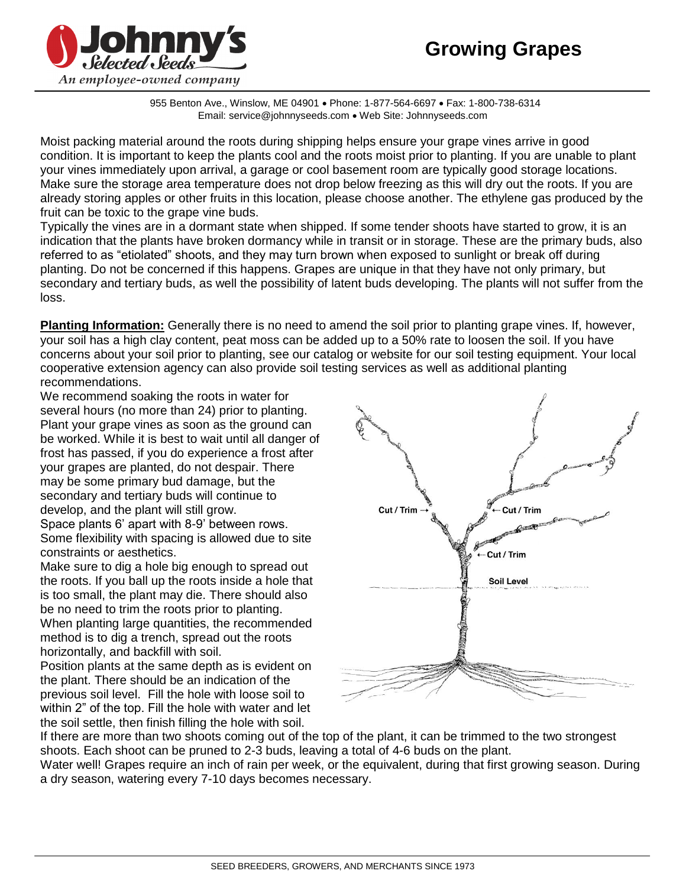

955 Benton Ave., Winslow, ME 04901 . Phone: 1-877-564-6697 . Fax: 1-800-738-6314 Email: service@johnnyseeds.com . Web Site: Johnnyseeds.com

Moist packing material around the roots during shipping helps ensure your grape vines arrive in good condition. It is important to keep the plants cool and the roots moist prior to planting. If you are unable to plant your vines immediately upon arrival, a garage or cool basement room are typically good storage locations. Make sure the storage area temperature does not drop below freezing as this will dry out the roots. If you are already storing apples or other fruits in this location, please choose another. The ethylene gas produced by the fruit can be toxic to the grape vine buds.

Typically the vines are in a dormant state when shipped. If some tender shoots have started to grow, it is an indication that the plants have broken dormancy while in transit or in storage. These are the primary buds, also referred to as "etiolated" shoots, and they may turn brown when exposed to sunlight or break off during planting. Do not be concerned if this happens. Grapes are unique in that they have not only primary, but secondary and tertiary buds, as well the possibility of latent buds developing. The plants will not suffer from the loss.

**Planting Information:** Generally there is no need to amend the soil prior to planting grape vines. If, however, your soil has a high clay content, peat moss can be added up to a 50% rate to loosen the soil. If you have concerns about your soil prior to planting, see our catalog or website for our soil testing equipment. Your local cooperative extension agency can also provide soil testing services as well as additional planting recommendations.

We recommend soaking the roots in water for several hours (no more than 24) prior to planting. Plant your grape vines as soon as the ground can be worked. While it is best to wait until all danger of frost has passed, if you do experience a frost after your grapes are planted, do not despair. There may be some primary bud damage, but the secondary and tertiary buds will continue to develop, and the plant will still grow. Space plants 6' apart with 8-9' between rows. Some flexibility with spacing is allowed due to site

constraints or aesthetics. Make sure to dig a hole big enough to spread out

the roots. If you ball up the roots inside a hole that is too small, the plant may die. There should also be no need to trim the roots prior to planting. When planting large quantities, the recommended method is to dig a trench, spread out the roots horizontally, and backfill with soil.

Position plants at the same depth as is evident on the plant. There should be an indication of the previous soil level. Fill the hole with loose soil to within 2" of the top. Fill the hole with water and let the soil settle, then finish filling the hole with soil.



If there are more than two shoots coming out of the top of the plant, it can be trimmed to the two strongest shoots. Each shoot can be pruned to 2-3 buds, leaving a total of 4-6 buds on the plant.

Water well! Grapes require an inch of rain per week, or the equivalent, during that first growing season. During a dry season, watering every 7-10 days becomes necessary.